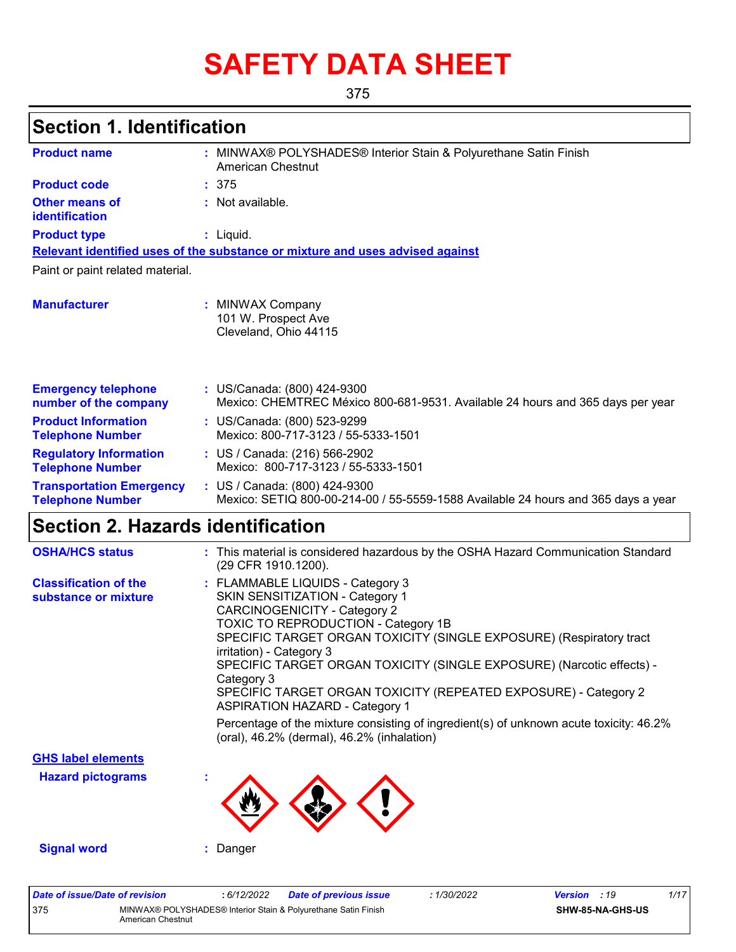# **SAFETY DATA SHEET**

375

## **Section 1. Identification**

| <b>Product name</b>                                        | : MINWAX® POLYSHADES® Interior Stain & Polyurethane Satin Finish<br>American Chestnut                              |
|------------------------------------------------------------|--------------------------------------------------------------------------------------------------------------------|
| <b>Product code</b>                                        | : 375                                                                                                              |
| Other means of<br>identification                           | : Not available.                                                                                                   |
| <b>Product type</b>                                        | $:$ Liquid.                                                                                                        |
|                                                            | Relevant identified uses of the substance or mixture and uses advised against                                      |
| Paint or paint related material.                           |                                                                                                                    |
| <b>Manufacturer</b>                                        | : MINWAX Company<br>101 W. Prospect Ave<br>Cleveland, Ohio 44115                                                   |
| <b>Emergency telephone</b><br>number of the company        | : US/Canada: (800) 424-9300<br>Mexico: CHEMTREC México 800-681-9531. Available 24 hours and 365 days per year      |
| <b>Product Information</b><br><b>Telephone Number</b>      | : US/Canada: (800) 523-9299<br>Mexico: 800-717-3123 / 55-5333-1501                                                 |
| <b>Regulatory Information</b><br><b>Telephone Number</b>   | : US / Canada: (216) 566-2902<br>Mexico: 800-717-3123 / 55-5333-1501                                               |
| <b>Transportation Emergency</b><br><b>Telephone Number</b> | : US / Canada: (800) 424-9300<br>Mexico: SETIQ 800-00-214-00 / 55-5559-1588 Available 24 hours and 365 days a year |

## **Section 2. Hazards identification**

| <b>OSHA/HCS status</b>                               | : This material is considered hazardous by the OSHA Hazard Communication Standard<br>(29 CFR 1910.1200).                                                                                                                                                                                                                                                                                                                                                                                                                                                                                              |
|------------------------------------------------------|-------------------------------------------------------------------------------------------------------------------------------------------------------------------------------------------------------------------------------------------------------------------------------------------------------------------------------------------------------------------------------------------------------------------------------------------------------------------------------------------------------------------------------------------------------------------------------------------------------|
| <b>Classification of the</b><br>substance or mixture | : FLAMMABLE LIQUIDS - Category 3<br>SKIN SENSITIZATION - Category 1<br><b>CARCINOGENICITY - Category 2</b><br>TOXIC TO REPRODUCTION - Category 1B<br>SPECIFIC TARGET ORGAN TOXICITY (SINGLE EXPOSURE) (Respiratory tract<br>irritation) - Category 3<br>SPECIFIC TARGET ORGAN TOXICITY (SINGLE EXPOSURE) (Narcotic effects) -<br>Category 3<br>SPECIFIC TARGET ORGAN TOXICITY (REPEATED EXPOSURE) - Category 2<br><b>ASPIRATION HAZARD - Category 1</b><br>Percentage of the mixture consisting of ingredient(s) of unknown acute toxicity: 46.2%<br>(oral), $46.2\%$ (dermal), $46.2\%$ (inhalation) |
| <b>GHS label elements</b>                            |                                                                                                                                                                                                                                                                                                                                                                                                                                                                                                                                                                                                       |
| <b>Hazard pictograms</b>                             |                                                                                                                                                                                                                                                                                                                                                                                                                                                                                                                                                                                                       |
| <b>Signal word</b>                                   | Danger                                                                                                                                                                                                                                                                                                                                                                                                                                                                                                                                                                                                |

| Date of issue/Date of revision |                   | : 6/12/2022 | <b>Date of previous issue</b>                                  | : 1/30/2022 | <b>Version</b> : 19 |                         | 1/17 |
|--------------------------------|-------------------|-------------|----------------------------------------------------------------|-------------|---------------------|-------------------------|------|
| 375                            | American Chestnut |             | MINWAX® POLYSHADES® Interior Stain & Polyurethane Satin Finish |             |                     | <b>SHW-85-NA-GHS-US</b> |      |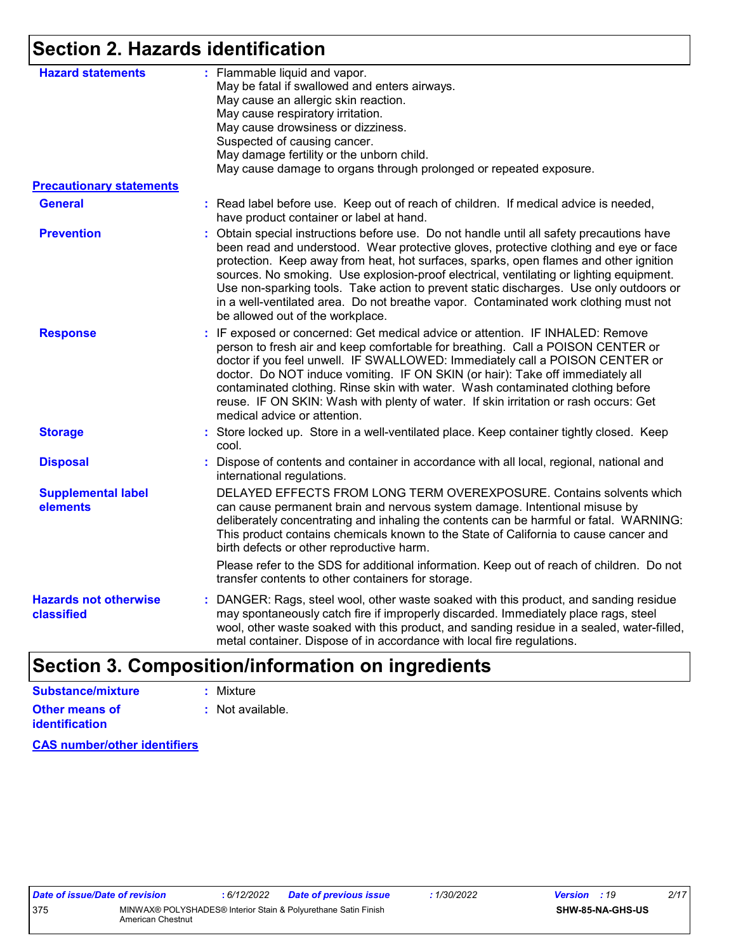## **Section 2. Hazards identification**

| <b>Hazard statements</b>                   | : Flammable liquid and vapor.<br>May be fatal if swallowed and enters airways.<br>May cause an allergic skin reaction.<br>May cause respiratory irritation.<br>May cause drowsiness or dizziness.<br>Suspected of causing cancer.<br>May damage fertility or the unborn child.<br>May cause damage to organs through prolonged or repeated exposure.                                                                                                                                                                                                                                         |
|--------------------------------------------|----------------------------------------------------------------------------------------------------------------------------------------------------------------------------------------------------------------------------------------------------------------------------------------------------------------------------------------------------------------------------------------------------------------------------------------------------------------------------------------------------------------------------------------------------------------------------------------------|
| <b>Precautionary statements</b>            |                                                                                                                                                                                                                                                                                                                                                                                                                                                                                                                                                                                              |
| <b>General</b>                             | : Read label before use. Keep out of reach of children. If medical advice is needed,<br>have product container or label at hand.                                                                                                                                                                                                                                                                                                                                                                                                                                                             |
| <b>Prevention</b>                          | : Obtain special instructions before use. Do not handle until all safety precautions have<br>been read and understood. Wear protective gloves, protective clothing and eye or face<br>protection. Keep away from heat, hot surfaces, sparks, open flames and other ignition<br>sources. No smoking. Use explosion-proof electrical, ventilating or lighting equipment.<br>Use non-sparking tools. Take action to prevent static discharges. Use only outdoors or<br>in a well-ventilated area. Do not breathe vapor. Contaminated work clothing must not<br>be allowed out of the workplace. |
| <b>Response</b>                            | : IF exposed or concerned: Get medical advice or attention. IF INHALED: Remove<br>person to fresh air and keep comfortable for breathing. Call a POISON CENTER or<br>doctor if you feel unwell. IF SWALLOWED: Immediately call a POISON CENTER or<br>doctor. Do NOT induce vomiting. IF ON SKIN (or hair): Take off immediately all<br>contaminated clothing. Rinse skin with water. Wash contaminated clothing before<br>reuse. IF ON SKIN: Wash with plenty of water. If skin irritation or rash occurs: Get<br>medical advice or attention.                                               |
| <b>Storage</b>                             | : Store locked up. Store in a well-ventilated place. Keep container tightly closed. Keep<br>cool.                                                                                                                                                                                                                                                                                                                                                                                                                                                                                            |
| <b>Disposal</b>                            | : Dispose of contents and container in accordance with all local, regional, national and<br>international regulations.                                                                                                                                                                                                                                                                                                                                                                                                                                                                       |
| <b>Supplemental label</b><br>elements      | DELAYED EFFECTS FROM LONG TERM OVEREXPOSURE. Contains solvents which<br>can cause permanent brain and nervous system damage. Intentional misuse by<br>deliberately concentrating and inhaling the contents can be harmful or fatal. WARNING:<br>This product contains chemicals known to the State of California to cause cancer and<br>birth defects or other reproductive harm.                                                                                                                                                                                                            |
|                                            | Please refer to the SDS for additional information. Keep out of reach of children. Do not<br>transfer contents to other containers for storage.                                                                                                                                                                                                                                                                                                                                                                                                                                              |
| <b>Hazards not otherwise</b><br>classified | : DANGER: Rags, steel wool, other waste soaked with this product, and sanding residue<br>may spontaneously catch fire if improperly discarded. Immediately place rags, steel<br>wool, other waste soaked with this product, and sanding residue in a sealed, water-filled,<br>metal container. Dispose of in accordance with local fire regulations.                                                                                                                                                                                                                                         |
|                                            |                                                                                                                                                                                                                                                                                                                                                                                                                                                                                                                                                                                              |

## **Section 3. Composition/information on ingredients**

| Substance/mixture     | : Mixture        |
|-----------------------|------------------|
| <b>Other means of</b> | : Not available. |
| <b>identification</b> |                  |

**CAS number/other identifiers**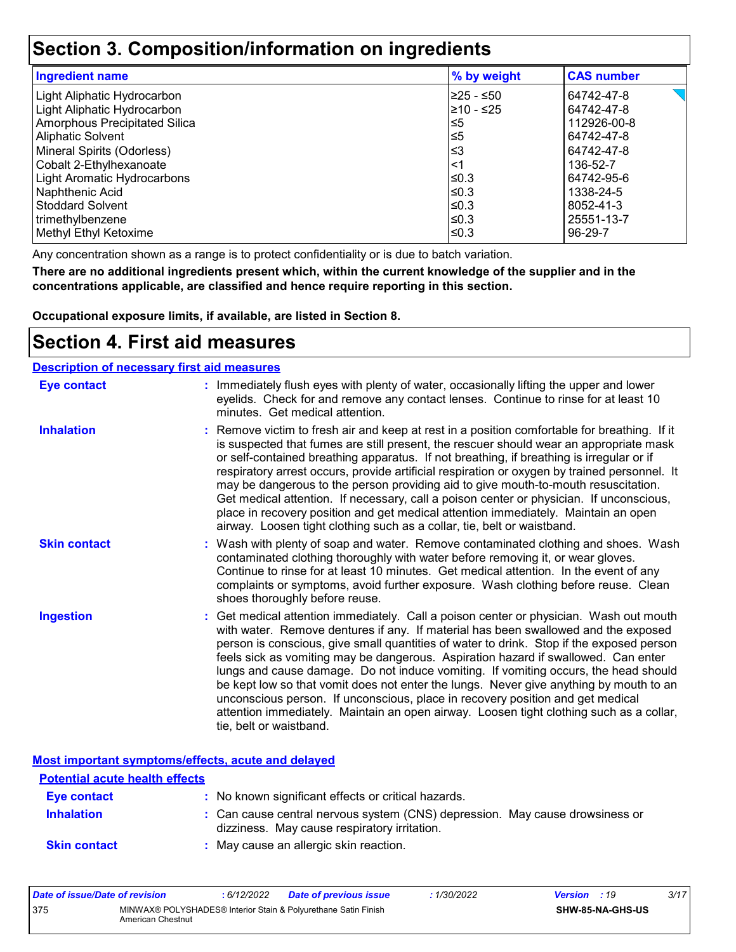### **Section 3. Composition/information on ingredients**

| <b>Ingredient name</b>             | % by weight | <b>CAS number</b> |
|------------------------------------|-------------|-------------------|
| Light Aliphatic Hydrocarbon        | 225 - ≤50   | 64742-47-8        |
| Light Aliphatic Hydrocarbon        | l≥10 - ≤25  | 64742-47-8        |
| Amorphous Precipitated Silica      | ≤5          | 112926-00-8       |
| Aliphatic Solvent                  | l≤5         | 64742-47-8        |
| Mineral Spirits (Odorless)         | ՝≤3         | 64742-47-8        |
| Cobalt 2-Ethylhexanoate            | ∣<1         | 136-52-7          |
| <b>Light Aromatic Hydrocarbons</b> | l≤0.3       | 64742-95-6        |
| Naphthenic Acid                    | l≤0.3       | 1338-24-5         |
| l Stoddard Solvent                 | l≤0.3       | 8052-41-3         |
| trimethylbenzene                   | l≤0.3       | 25551-13-7        |
| Methyl Ethyl Ketoxime              | l≤0.3       | 96-29-7           |

Any concentration shown as a range is to protect confidentiality or is due to batch variation.

**There are no additional ingredients present which, within the current knowledge of the supplier and in the concentrations applicable, are classified and hence require reporting in this section.**

**Occupational exposure limits, if available, are listed in Section 8.**

### **Section 4. First aid measures**

|                     | <b>Description of necessary first aid measures</b>                                                                                                                                                                                                                                                                                                                                                                                                                                                                                                                                                                                                                                                                                                      |  |  |  |  |
|---------------------|---------------------------------------------------------------------------------------------------------------------------------------------------------------------------------------------------------------------------------------------------------------------------------------------------------------------------------------------------------------------------------------------------------------------------------------------------------------------------------------------------------------------------------------------------------------------------------------------------------------------------------------------------------------------------------------------------------------------------------------------------------|--|--|--|--|
| <b>Eye contact</b>  | : Immediately flush eyes with plenty of water, occasionally lifting the upper and lower<br>eyelids. Check for and remove any contact lenses. Continue to rinse for at least 10<br>minutes. Get medical attention.                                                                                                                                                                                                                                                                                                                                                                                                                                                                                                                                       |  |  |  |  |
| <b>Inhalation</b>   | : Remove victim to fresh air and keep at rest in a position comfortable for breathing. If it<br>is suspected that fumes are still present, the rescuer should wear an appropriate mask<br>or self-contained breathing apparatus. If not breathing, if breathing is irregular or if<br>respiratory arrest occurs, provide artificial respiration or oxygen by trained personnel. It<br>may be dangerous to the person providing aid to give mouth-to-mouth resuscitation.<br>Get medical attention. If necessary, call a poison center or physician. If unconscious,<br>place in recovery position and get medical attention immediately. Maintain an open<br>airway. Loosen tight clothing such as a collar, tie, belt or waistband.                    |  |  |  |  |
| <b>Skin contact</b> | : Wash with plenty of soap and water. Remove contaminated clothing and shoes. Wash<br>contaminated clothing thoroughly with water before removing it, or wear gloves.<br>Continue to rinse for at least 10 minutes. Get medical attention. In the event of any<br>complaints or symptoms, avoid further exposure. Wash clothing before reuse. Clean<br>shoes thoroughly before reuse.                                                                                                                                                                                                                                                                                                                                                                   |  |  |  |  |
| <b>Ingestion</b>    | : Get medical attention immediately. Call a poison center or physician. Wash out mouth<br>with water. Remove dentures if any. If material has been swallowed and the exposed<br>person is conscious, give small quantities of water to drink. Stop if the exposed person<br>feels sick as vomiting may be dangerous. Aspiration hazard if swallowed. Can enter<br>lungs and cause damage. Do not induce vomiting. If vomiting occurs, the head should<br>be kept low so that vomit does not enter the lungs. Never give anything by mouth to an<br>unconscious person. If unconscious, place in recovery position and get medical<br>attention immediately. Maintain an open airway. Loosen tight clothing such as a collar,<br>tie, belt or waistband. |  |  |  |  |

**Most important symptoms/effects, acute and delayed**

| <b>Potential acute health effects</b> |                                                                                                                              |
|---------------------------------------|------------------------------------------------------------------------------------------------------------------------------|
| Eye contact                           | : No known significant effects or critical hazards.                                                                          |
| <b>Inhalation</b>                     | : Can cause central nervous system (CNS) depression. May cause drowsiness or<br>dizziness. May cause respiratory irritation. |
| <b>Skin contact</b>                   | : May cause an allergic skin reaction.                                                                                       |

| Date of issue/Date of revision |                                                                                     | : 6/12/2022 | <b>Date of previous issue</b> | : 1/30/2022 | <b>Version</b> : 19 |                         | 3/17 |
|--------------------------------|-------------------------------------------------------------------------------------|-------------|-------------------------------|-------------|---------------------|-------------------------|------|
| 375                            | MINWAX® POLYSHADES® Interior Stain & Polyurethane Satin Finish<br>American Chestnut |             |                               |             |                     | <b>SHW-85-NA-GHS-US</b> |      |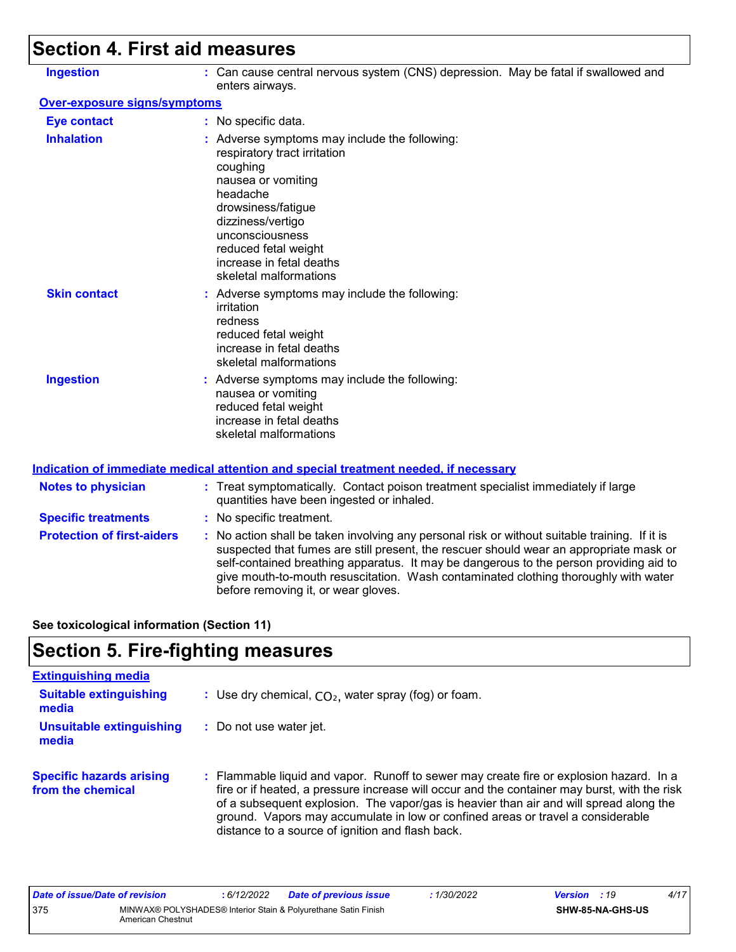## **Section 4. First aid measures**

| <b>Ingestion</b>             | : Can cause central nervous system (CNS) depression. May be fatal if swallowed and<br>enters airways.                                                                                                                                                                   |
|------------------------------|-------------------------------------------------------------------------------------------------------------------------------------------------------------------------------------------------------------------------------------------------------------------------|
| Over-exposure signs/symptoms |                                                                                                                                                                                                                                                                         |
| <b>Eye contact</b>           | : No specific data.                                                                                                                                                                                                                                                     |
| <b>Inhalation</b>            | : Adverse symptoms may include the following:<br>respiratory tract irritation<br>coughing<br>nausea or vomiting<br>headache<br>drowsiness/fatigue<br>dizziness/vertigo<br>unconsciousness<br>reduced fetal weight<br>increase in fetal deaths<br>skeletal malformations |
| <b>Skin contact</b>          | : Adverse symptoms may include the following:<br>irritation<br>redness<br>reduced fetal weight<br>increase in fetal deaths<br>skeletal malformations                                                                                                                    |
| <b>Ingestion</b>             | : Adverse symptoms may include the following:<br>nausea or vomiting<br>reduced fetal weight<br>increase in fetal deaths<br>skeletal malformations                                                                                                                       |

#### **Indication of immediate medical attention and special treatment needed, if necessary**

| <b>Notes to physician</b>         | : Treat symptomatically. Contact poison treatment specialist immediately if large<br>quantities have been ingested or inhaled.                                                                                                                                                                                                                                                                                  |
|-----------------------------------|-----------------------------------------------------------------------------------------------------------------------------------------------------------------------------------------------------------------------------------------------------------------------------------------------------------------------------------------------------------------------------------------------------------------|
| <b>Specific treatments</b>        | : No specific treatment.                                                                                                                                                                                                                                                                                                                                                                                        |
| <b>Protection of first-aiders</b> | : No action shall be taken involving any personal risk or without suitable training. If it is<br>suspected that fumes are still present, the rescuer should wear an appropriate mask or<br>self-contained breathing apparatus. It may be dangerous to the person providing aid to<br>give mouth-to-mouth resuscitation. Wash contaminated clothing thoroughly with water<br>before removing it, or wear gloves. |

**See toxicological information (Section 11)**

## **Section 5. Fire-fighting measures**

| <b>Extinguishing media</b>                           |                                                                                                                                                                                                                                                                                                                                                                                                                          |
|------------------------------------------------------|--------------------------------------------------------------------------------------------------------------------------------------------------------------------------------------------------------------------------------------------------------------------------------------------------------------------------------------------------------------------------------------------------------------------------|
| <b>Suitable extinguishing</b><br>media               | : Use dry chemical, $CO2$ , water spray (fog) or foam.                                                                                                                                                                                                                                                                                                                                                                   |
| Unsuitable extinguishing<br>media                    | : Do not use water jet.                                                                                                                                                                                                                                                                                                                                                                                                  |
| <b>Specific hazards arising</b><br>from the chemical | : Flammable liquid and vapor. Runoff to sewer may create fire or explosion hazard. In a<br>fire or if heated, a pressure increase will occur and the container may burst, with the risk<br>of a subsequent explosion. The vapor/gas is heavier than air and will spread along the<br>ground. Vapors may accumulate in low or confined areas or travel a considerable<br>distance to a source of ignition and flash back. |

| Date of issue/Date of revision |                                                                                     | : 6/12/2022 | <b>Date of previous issue</b> | 1/30/2022 | <b>Version</b> : 19 |  | 4/17 |
|--------------------------------|-------------------------------------------------------------------------------------|-------------|-------------------------------|-----------|---------------------|--|------|
| 375                            | MINWAX® POLYSHADES® Interior Stain & Polyurethane Satin Finish<br>American Chestnut |             |                               |           | SHW-85-NA-GHS-US    |  |      |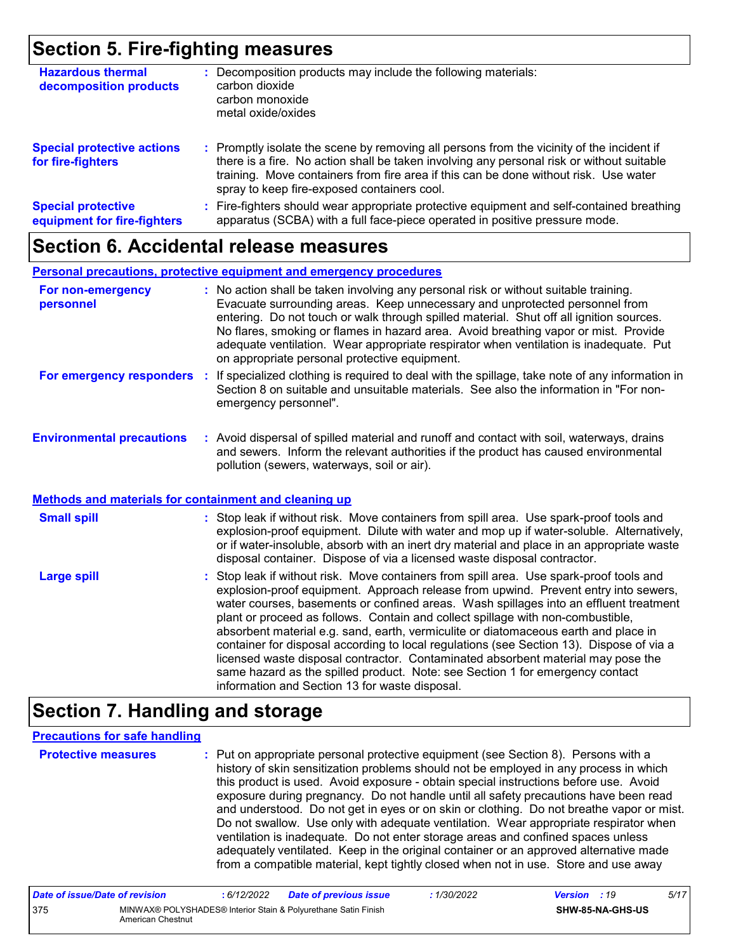### **Section 5. Fire-fighting measures**

| <b>Hazardous thermal</b><br>decomposition products       | Decomposition products may include the following materials:<br>carbon dioxide<br>carbon monoxide<br>metal oxide/oxides                                                                                                                                                                                                        |
|----------------------------------------------------------|-------------------------------------------------------------------------------------------------------------------------------------------------------------------------------------------------------------------------------------------------------------------------------------------------------------------------------|
| <b>Special protective actions</b><br>for fire-fighters   | : Promptly isolate the scene by removing all persons from the vicinity of the incident if<br>there is a fire. No action shall be taken involving any personal risk or without suitable<br>training. Move containers from fire area if this can be done without risk. Use water<br>spray to keep fire-exposed containers cool. |
| <b>Special protective</b><br>equipment for fire-fighters | Fire-fighters should wear appropriate protective equipment and self-contained breathing<br>apparatus (SCBA) with a full face-piece operated in positive pressure mode.                                                                                                                                                        |

### **Section 6. Accidental release measures**

#### **Personal precautions, protective equipment and emergency procedures**

| For non-emergency<br>personnel   | : No action shall be taken involving any personal risk or without suitable training.<br>Evacuate surrounding areas. Keep unnecessary and unprotected personnel from<br>entering. Do not touch or walk through spilled material. Shut off all ignition sources.<br>No flares, smoking or flames in hazard area. Avoid breathing vapor or mist. Provide<br>adequate ventilation. Wear appropriate respirator when ventilation is inadequate. Put<br>on appropriate personal protective equipment. |
|----------------------------------|-------------------------------------------------------------------------------------------------------------------------------------------------------------------------------------------------------------------------------------------------------------------------------------------------------------------------------------------------------------------------------------------------------------------------------------------------------------------------------------------------|
| For emergency responders         | : If specialized clothing is required to deal with the spillage, take note of any information in<br>Section 8 on suitable and unsuitable materials. See also the information in "For non-<br>emergency personnel".                                                                                                                                                                                                                                                                              |
| <b>Environmental precautions</b> | Avoid dispersal of spilled material and rupoff and contact with soil waterways, drains                                                                                                                                                                                                                                                                                                                                                                                                          |

#### **Environmental precautions : Avo :** illed material and runoff and contact with soil, waterways, drains and sewers. Inform the relevant authorities if the product has caused environmental pollution (sewers, waterways, soil or air).

#### **Methods and materials for containment and cleaning up**

| <b>Small spill</b> | : Stop leak if without risk. Move containers from spill area. Use spark-proof tools and<br>explosion-proof equipment. Dilute with water and mop up if water-soluble. Alternatively,<br>or if water-insoluble, absorb with an inert dry material and place in an appropriate waste<br>disposal container. Dispose of via a licensed waste disposal contractor.                                                                                                                                                                                                                                                                                                                                                                                                        |
|--------------------|----------------------------------------------------------------------------------------------------------------------------------------------------------------------------------------------------------------------------------------------------------------------------------------------------------------------------------------------------------------------------------------------------------------------------------------------------------------------------------------------------------------------------------------------------------------------------------------------------------------------------------------------------------------------------------------------------------------------------------------------------------------------|
| <b>Large spill</b> | : Stop leak if without risk. Move containers from spill area. Use spark-proof tools and<br>explosion-proof equipment. Approach release from upwind. Prevent entry into sewers,<br>water courses, basements or confined areas. Wash spillages into an effluent treatment<br>plant or proceed as follows. Contain and collect spillage with non-combustible,<br>absorbent material e.g. sand, earth, vermiculite or diatomaceous earth and place in<br>container for disposal according to local regulations (see Section 13). Dispose of via a<br>licensed waste disposal contractor. Contaminated absorbent material may pose the<br>same hazard as the spilled product. Note: see Section 1 for emergency contact<br>information and Section 13 for waste disposal. |

### **Section 7. Handling and storage**

#### **Precautions for safe handling**

**Protective measures :** Put on appropriate personal protective equipment (see Section 8). Persons with a history of skin sensitization problems should not be employed in any process in which this product is used. Avoid exposure - obtain special instructions before use. Avoid exposure during pregnancy. Do not handle until all safety precautions have been read and understood. Do not get in eyes or on skin or clothing. Do not breathe vapor or mist. Do not swallow. Use only with adequate ventilation. Wear appropriate respirator when ventilation is inadequate. Do not enter storage areas and confined spaces unless adequately ventilated. Keep in the original container or an approved alternative made from a compatible material, kept tightly closed when not in use. Store and use away

| Date of issue/Date of revision |                                                                                     | : 6/12/2022 | <b>Date of previous issue</b> | : 1/30/2022 | <b>Version</b> : 19 |                         | 5/17 |
|--------------------------------|-------------------------------------------------------------------------------------|-------------|-------------------------------|-------------|---------------------|-------------------------|------|
| 375                            | MINWAX® POLYSHADES® Interior Stain & Polvurethane Satin Finish<br>American Chestnut |             |                               |             |                     | <b>SHW-85-NA-GHS-US</b> |      |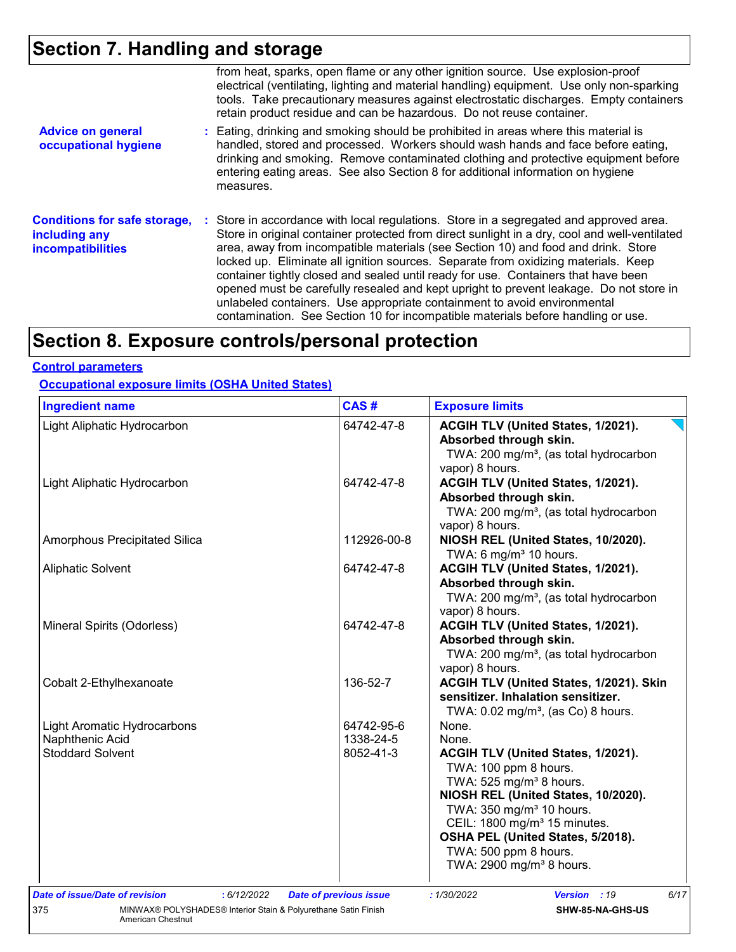## **Section 7. Handling and storage**

|                                                                                  | from heat, sparks, open flame or any other ignition source. Use explosion-proof<br>electrical (ventilating, lighting and material handling) equipment. Use only non-sparking<br>tools. Take precautionary measures against electrostatic discharges. Empty containers<br>retain product residue and can be hazardous. Do not reuse container.                                                                                                                                                                                                                                                                                                                                                                      |
|----------------------------------------------------------------------------------|--------------------------------------------------------------------------------------------------------------------------------------------------------------------------------------------------------------------------------------------------------------------------------------------------------------------------------------------------------------------------------------------------------------------------------------------------------------------------------------------------------------------------------------------------------------------------------------------------------------------------------------------------------------------------------------------------------------------|
| <b>Advice on general</b><br>occupational hygiene                                 | : Eating, drinking and smoking should be prohibited in areas where this material is<br>handled, stored and processed. Workers should wash hands and face before eating,<br>drinking and smoking. Remove contaminated clothing and protective equipment before<br>entering eating areas. See also Section 8 for additional information on hygiene<br>measures.                                                                                                                                                                                                                                                                                                                                                      |
| <b>Conditions for safe storage,</b><br>including any<br><b>incompatibilities</b> | : Store in accordance with local regulations. Store in a segregated and approved area.<br>Store in original container protected from direct sunlight in a dry, cool and well-ventilated<br>area, away from incompatible materials (see Section 10) and food and drink. Store<br>locked up. Eliminate all ignition sources. Separate from oxidizing materials. Keep<br>container tightly closed and sealed until ready for use. Containers that have been<br>opened must be carefully resealed and kept upright to prevent leakage. Do not store in<br>unlabeled containers. Use appropriate containment to avoid environmental<br>contamination. See Section 10 for incompatible materials before handling or use. |

## **Section 8. Exposure controls/personal protection**

#### **Control parameters**

**Occupational exposure limits (OSHA United States)**

| <b>Ingredient name</b>                                                | CAS#                          | <b>Exposure limits</b>                             |
|-----------------------------------------------------------------------|-------------------------------|----------------------------------------------------|
| Light Aliphatic Hydrocarbon                                           | 64742-47-8                    | ACGIH TLV (United States, 1/2021).                 |
|                                                                       |                               | Absorbed through skin.                             |
|                                                                       |                               | TWA: 200 mg/m <sup>3</sup> , (as total hydrocarbon |
|                                                                       |                               | vapor) 8 hours.                                    |
| Light Aliphatic Hydrocarbon                                           | 64742-47-8                    | ACGIH TLV (United States, 1/2021).                 |
|                                                                       |                               | Absorbed through skin.                             |
|                                                                       |                               | TWA: 200 mg/m <sup>3</sup> , (as total hydrocarbon |
|                                                                       |                               | vapor) 8 hours.                                    |
| Amorphous Precipitated Silica                                         | 112926-00-8                   | NIOSH REL (United States, 10/2020).                |
|                                                                       |                               | TWA: 6 mg/m <sup>3</sup> 10 hours.                 |
| <b>Aliphatic Solvent</b>                                              | 64742-47-8                    | ACGIH TLV (United States, 1/2021).                 |
|                                                                       |                               | Absorbed through skin.                             |
|                                                                       |                               | TWA: 200 mg/m <sup>3</sup> , (as total hydrocarbon |
|                                                                       |                               | vapor) 8 hours.                                    |
| Mineral Spirits (Odorless)                                            | 64742-47-8                    | ACGIH TLV (United States, 1/2021).                 |
|                                                                       |                               | Absorbed through skin.                             |
|                                                                       |                               | TWA: 200 mg/m <sup>3</sup> , (as total hydrocarbon |
|                                                                       |                               | vapor) 8 hours.                                    |
| Cobalt 2-Ethylhexanoate                                               | 136-52-7                      | ACGIH TLV (United States, 1/2021). Skin            |
|                                                                       |                               | sensitizer. Inhalation sensitizer.                 |
|                                                                       |                               | TWA: $0.02$ mg/m <sup>3</sup> , (as Co) 8 hours.   |
| <b>Light Aromatic Hydrocarbons</b>                                    | 64742-95-6                    | None.                                              |
| Naphthenic Acid                                                       | 1338-24-5                     | None.                                              |
| <b>Stoddard Solvent</b>                                               | 8052-41-3                     | ACGIH TLV (United States, 1/2021).                 |
|                                                                       |                               | TWA: 100 ppm 8 hours.                              |
|                                                                       |                               | TWA: 525 mg/m <sup>3</sup> 8 hours.                |
|                                                                       |                               | NIOSH REL (United States, 10/2020).                |
|                                                                       |                               | TWA: 350 mg/m <sup>3</sup> 10 hours.               |
|                                                                       |                               | CEIL: 1800 mg/m <sup>3</sup> 15 minutes.           |
|                                                                       |                               | OSHA PEL (United States, 5/2018).                  |
|                                                                       |                               | TWA: 500 ppm 8 hours.                              |
|                                                                       |                               | TWA: 2900 mg/m <sup>3</sup> 8 hours.               |
|                                                                       |                               |                                                    |
| Date of issue/Date of revision<br>: 6/12/2022                         | <b>Date of previous issue</b> | 6/17<br>: 1/30/2022<br>Version : 19                |
| MINWAX® POLYSHADES® Interior Stain & Polyurethane Satin Finish<br>375 |                               | SHW-85-NA-GHS-US                                   |
| American Chestnut                                                     |                               |                                                    |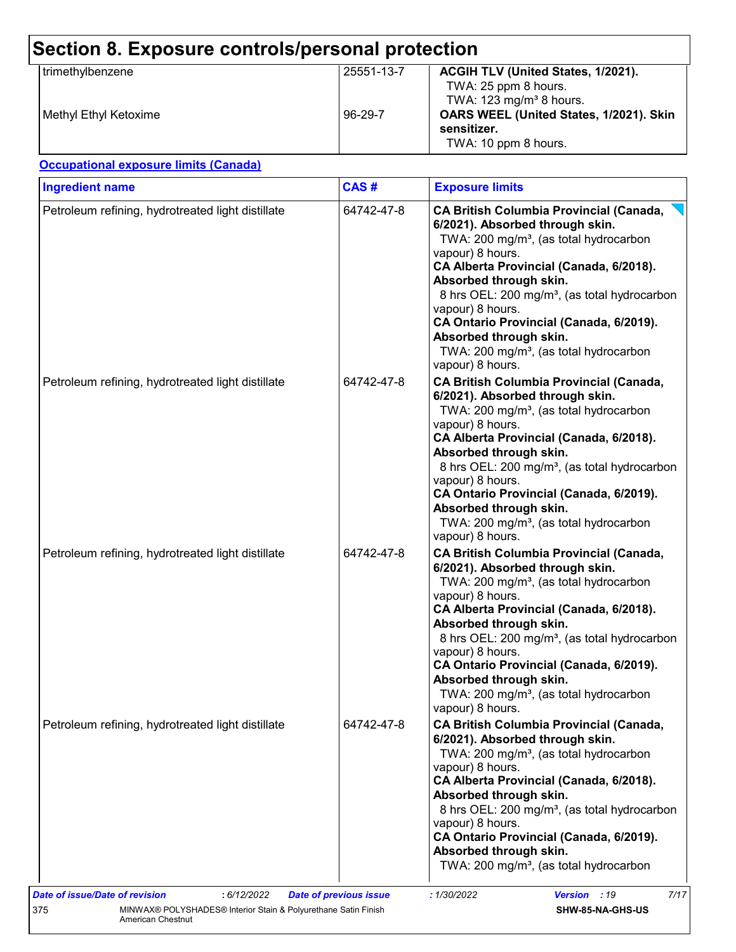| Section 8. Exposure controls/personal protection |            |                                                                                                     |  |
|--------------------------------------------------|------------|-----------------------------------------------------------------------------------------------------|--|
| trimethylbenzene                                 | 25551-13-7 | ACGIH TLV (United States, 1/2021).<br>TWA: 25 ppm 8 hours.<br>TWA: $123$ mg/m <sup>3</sup> 8 hours. |  |
| Methyl Ethyl Ketoxime                            | 96-29-7    | OARS WEEL (United States, 1/2021). Skin<br>sensitizer.<br>TWA: 10 ppm 8 hours.                      |  |

#### **Occupational exposure limits (Canada)**

| <b>Ingredient name</b>                            | CAS#       | <b>Exposure limits</b>                                                                                                                                                                                                                                                                                                                                                                                                                                          |
|---------------------------------------------------|------------|-----------------------------------------------------------------------------------------------------------------------------------------------------------------------------------------------------------------------------------------------------------------------------------------------------------------------------------------------------------------------------------------------------------------------------------------------------------------|
| Petroleum refining, hydrotreated light distillate | 64742-47-8 | <b>CA British Columbia Provincial (Canada,</b><br>6/2021). Absorbed through skin.<br>TWA: 200 mg/m <sup>3</sup> , (as total hydrocarbon<br>vapour) 8 hours.<br>CA Alberta Provincial (Canada, 6/2018).<br>Absorbed through skin.<br>8 hrs OEL: 200 mg/m <sup>3</sup> , (as total hydrocarbon<br>vapour) 8 hours.<br>CA Ontario Provincial (Canada, 6/2019).<br>Absorbed through skin.<br>TWA: 200 mg/m <sup>3</sup> , (as total hydrocarbon<br>vapour) 8 hours. |
| Petroleum refining, hydrotreated light distillate | 64742-47-8 | <b>CA British Columbia Provincial (Canada,</b><br>6/2021). Absorbed through skin.<br>TWA: 200 mg/m <sup>3</sup> , (as total hydrocarbon<br>vapour) 8 hours.<br>CA Alberta Provincial (Canada, 6/2018).<br>Absorbed through skin.<br>8 hrs OEL: 200 mg/m <sup>3</sup> , (as total hydrocarbon<br>vapour) 8 hours.<br>CA Ontario Provincial (Canada, 6/2019).<br>Absorbed through skin.<br>TWA: 200 mg/m <sup>3</sup> , (as total hydrocarbon<br>vapour) 8 hours. |
| Petroleum refining, hydrotreated light distillate | 64742-47-8 | <b>CA British Columbia Provincial (Canada,</b><br>6/2021). Absorbed through skin.<br>TWA: 200 mg/m <sup>3</sup> , (as total hydrocarbon<br>vapour) 8 hours.<br>CA Alberta Provincial (Canada, 6/2018).<br>Absorbed through skin.<br>8 hrs OEL: 200 mg/m <sup>3</sup> , (as total hydrocarbon<br>vapour) 8 hours.<br>CA Ontario Provincial (Canada, 6/2019).<br>Absorbed through skin.<br>TWA: 200 mg/m <sup>3</sup> , (as total hydrocarbon<br>vapour) 8 hours. |
| Petroleum refining, hydrotreated light distillate | 64742-47-8 | <b>CA British Columbia Provincial (Canada,</b><br>6/2021). Absorbed through skin.<br>TWA: 200 mg/m <sup>3</sup> , (as total hydrocarbon<br>vapour) 8 hours.<br>CA Alberta Provincial (Canada, 6/2018).<br>Absorbed through skin.<br>8 hrs OEL: 200 mg/m <sup>3</sup> , (as total hydrocarbon<br>vapour) 8 hours.<br>CA Ontario Provincial (Canada, 6/2019).<br>Absorbed through skin.<br>TWA: 200 mg/m <sup>3</sup> , (as total hydrocarbon                     |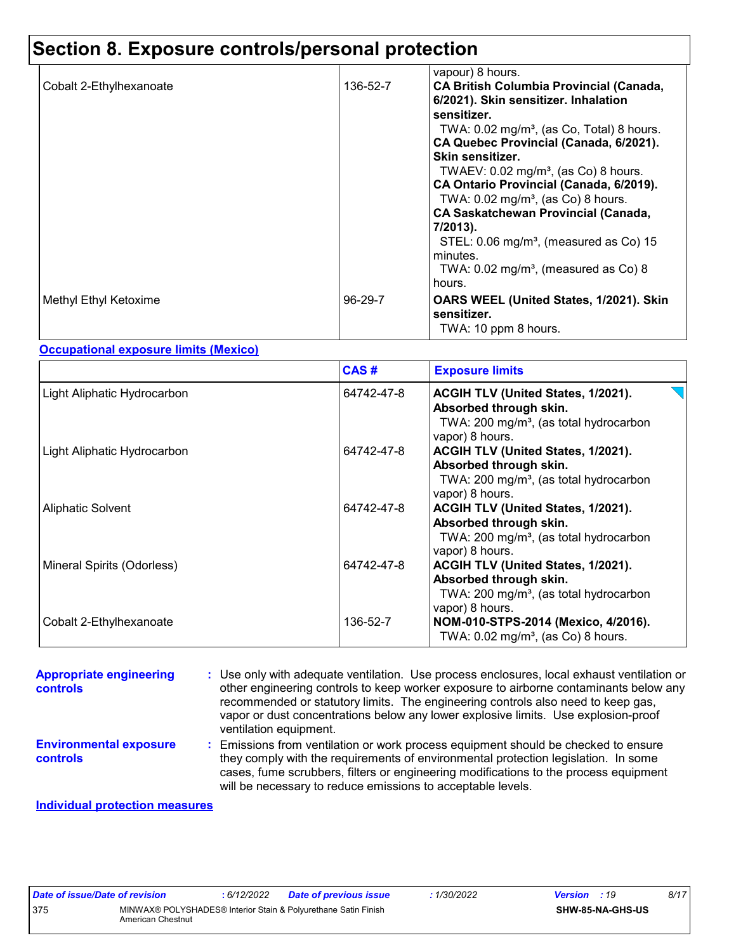### **Section 8. Exposure controls/personal protection**

| Cobalt 2-Ethylhexanoate | 136-52-7  | vapour) 8 hours.<br><b>CA British Columbia Provincial (Canada,</b><br>6/2021). Skin sensitizer. Inhalation                                     |
|-------------------------|-----------|------------------------------------------------------------------------------------------------------------------------------------------------|
|                         |           | sensitizer.<br>TWA: $0.02 \text{ mg/m}^3$ , (as Co, Total) 8 hours.<br>CA Quebec Provincial (Canada, 6/2021).<br>Skin sensitizer.              |
|                         |           | TWAEV: $0.02 \text{ mg/m}^3$ , (as Co) 8 hours.<br>CA Ontario Provincial (Canada, 6/2019).<br>TWA: $0.02$ mg/m <sup>3</sup> , (as Co) 8 hours. |
|                         |           | <b>CA Saskatchewan Provincial (Canada,</b><br>7/2013).                                                                                         |
|                         |           | STEL: $0.06 \text{ mg/m}^3$ , (measured as Co) 15<br>minutes.<br>TWA: $0.02$ mg/m <sup>3</sup> , (measured as Co) 8<br>hours.                  |
| Methyl Ethyl Ketoxime   | $96-29-7$ | OARS WEEL (United States, 1/2021). Skin<br>sensitizer.<br>TWA: 10 ppm 8 hours.                                                                 |

#### **Occupational exposure limits (Mexico)**

|                             | CAS#       | <b>Exposure limits</b>                                                                                                                |
|-----------------------------|------------|---------------------------------------------------------------------------------------------------------------------------------------|
| Light Aliphatic Hydrocarbon | 64742-47-8 | ACGIH TLV (United States, 1/2021).<br>Absorbed through skin.<br>TWA: 200 mg/m <sup>3</sup> , (as total hydrocarbon<br>vapor) 8 hours. |
| Light Aliphatic Hydrocarbon | 64742-47-8 | ACGIH TLV (United States, 1/2021).<br>Absorbed through skin.<br>TWA: 200 mg/m <sup>3</sup> , (as total hydrocarbon<br>vapor) 8 hours. |
| <b>Aliphatic Solvent</b>    | 64742-47-8 | ACGIH TLV (United States, 1/2021).<br>Absorbed through skin.<br>TWA: 200 mg/m <sup>3</sup> , (as total hydrocarbon<br>vapor) 8 hours. |
| Mineral Spirits (Odorless)  | 64742-47-8 | ACGIH TLV (United States, 1/2021).<br>Absorbed through skin.<br>TWA: 200 mg/m <sup>3</sup> , (as total hydrocarbon<br>vapor) 8 hours. |
| Cobalt 2-Ethylhexanoate     | 136-52-7   | NOM-010-STPS-2014 (Mexico, 4/2016).<br>TWA: $0.02$ mg/m <sup>3</sup> , (as Co) 8 hours.                                               |

#### Emissions from ventilation or work process equipment should be checked to ensure **:** they comply with the requirements of environmental protection legislation. In some cases, fume scrubbers, filters or engineering modifications to the process equipment will be necessary to reduce emissions to acceptable levels. **Appropriate engineering controls :** Use only with adequate ventilation. Use process enclosures, local exhaust ventilation or other engineering controls to keep worker exposure to airborne contaminants below any recommended or statutory limits. The engineering controls also need to keep gas, vapor or dust concentrations below any lower explosive limits. Use explosion-proof ventilation equipment. **Individual protection measures Environmental exposure controls**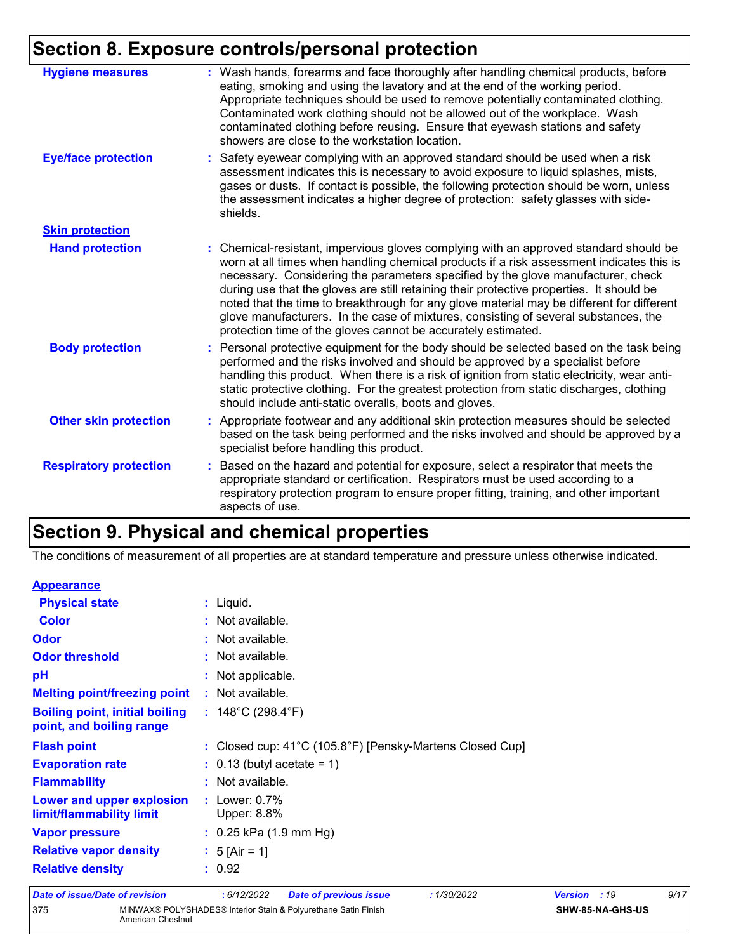## **Section 8. Exposure controls/personal protection**

| <b>Hygiene measures</b>       | : Wash hands, forearms and face thoroughly after handling chemical products, before<br>eating, smoking and using the lavatory and at the end of the working period.<br>Appropriate techniques should be used to remove potentially contaminated clothing.<br>Contaminated work clothing should not be allowed out of the workplace. Wash<br>contaminated clothing before reusing. Ensure that eyewash stations and safety<br>showers are close to the workstation location.                                                                                                                                            |
|-------------------------------|------------------------------------------------------------------------------------------------------------------------------------------------------------------------------------------------------------------------------------------------------------------------------------------------------------------------------------------------------------------------------------------------------------------------------------------------------------------------------------------------------------------------------------------------------------------------------------------------------------------------|
| <b>Eye/face protection</b>    | : Safety eyewear complying with an approved standard should be used when a risk<br>assessment indicates this is necessary to avoid exposure to liquid splashes, mists,<br>gases or dusts. If contact is possible, the following protection should be worn, unless<br>the assessment indicates a higher degree of protection: safety glasses with side-<br>shields.                                                                                                                                                                                                                                                     |
| <b>Skin protection</b>        |                                                                                                                                                                                                                                                                                                                                                                                                                                                                                                                                                                                                                        |
| <b>Hand protection</b>        | : Chemical-resistant, impervious gloves complying with an approved standard should be<br>worn at all times when handling chemical products if a risk assessment indicates this is<br>necessary. Considering the parameters specified by the glove manufacturer, check<br>during use that the gloves are still retaining their protective properties. It should be<br>noted that the time to breakthrough for any glove material may be different for different<br>glove manufacturers. In the case of mixtures, consisting of several substances, the<br>protection time of the gloves cannot be accurately estimated. |
| <b>Body protection</b>        | : Personal protective equipment for the body should be selected based on the task being<br>performed and the risks involved and should be approved by a specialist before<br>handling this product. When there is a risk of ignition from static electricity, wear anti-<br>static protective clothing. For the greatest protection from static discharges, clothing<br>should include anti-static overalls, boots and gloves.                                                                                                                                                                                         |
| <b>Other skin protection</b>  | : Appropriate footwear and any additional skin protection measures should be selected<br>based on the task being performed and the risks involved and should be approved by a<br>specialist before handling this product.                                                                                                                                                                                                                                                                                                                                                                                              |
| <b>Respiratory protection</b> | : Based on the hazard and potential for exposure, select a respirator that meets the<br>appropriate standard or certification. Respirators must be used according to a<br>respiratory protection program to ensure proper fitting, training, and other important<br>aspects of use.                                                                                                                                                                                                                                                                                                                                    |

## **Section 9. Physical and chemical properties**

The conditions of measurement of all properties are at standard temperature and pressure unless otherwise indicated.

| <b>Appearance</b>                                                 |                                                          |
|-------------------------------------------------------------------|----------------------------------------------------------|
| <b>Physical state</b>                                             | $:$ Liquid.                                              |
| <b>Color</b>                                                      | : Not available.                                         |
| <b>Odor</b>                                                       | : Not available.                                         |
| <b>Odor threshold</b>                                             | : Not available.                                         |
| pH                                                                | : Not applicable.                                        |
| <b>Melting point/freezing point</b>                               | : Not available.                                         |
| <b>Boiling point, initial boiling</b><br>point, and boiling range | : $148^{\circ}$ C (298.4 $^{\circ}$ F)                   |
| <b>Flash point</b>                                                | : Closed cup: 41°C (105.8°F) [Pensky-Martens Closed Cup] |
| <b>Evaporation rate</b>                                           | $\therefore$ 0.13 (butyl acetate = 1)                    |
| <b>Flammability</b>                                               | : Not available.                                         |
| Lower and upper explosion<br>limit/flammability limit             | $:$ Lower: $0.7\%$<br>Upper: 8.8%                        |
| <b>Vapor pressure</b>                                             | $: 0.25$ kPa (1.9 mm Hg)                                 |
| <b>Relative vapor density</b>                                     | : $5$ [Air = 1]                                          |
| <b>Relative density</b>                                           | : 0.92                                                   |
|                                                                   |                                                          |

| Date of issue/Date of revision |                   | : 6/12/2022 | <b>Date of previous issue</b>                                  | 1/30/2022 | <b>Version</b> : 19 |                         | 9/17 |  |
|--------------------------------|-------------------|-------------|----------------------------------------------------------------|-----------|---------------------|-------------------------|------|--|
| 375                            | American Chestnut |             | MINWAX® POLYSHADES® Interior Stain & Polyurethane Satin Finish |           |                     | <b>SHW-85-NA-GHS-US</b> |      |  |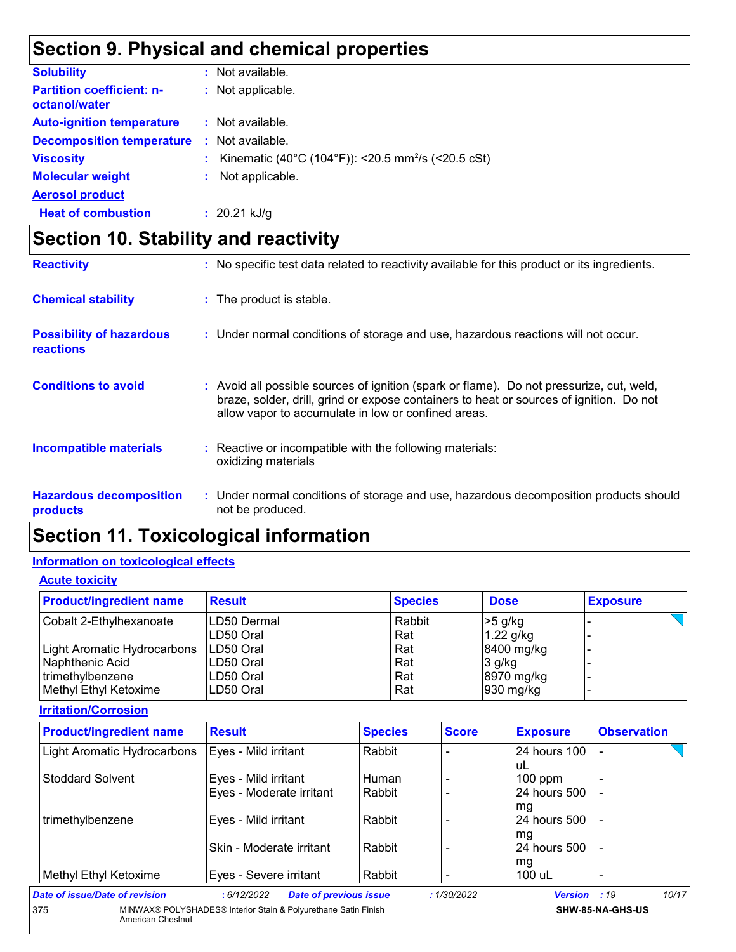## **Section 9. Physical and chemical properties**

| <b>Solubility</b>                                 | : Not available.                                                 |
|---------------------------------------------------|------------------------------------------------------------------|
| <b>Partition coefficient: n-</b><br>octanol/water | : Not applicable.                                                |
| <b>Auto-ignition temperature</b>                  | : Not available.                                                 |
| <b>Decomposition temperature</b>                  | : Not available.                                                 |
| <b>Viscosity</b>                                  | : Kinematic (40°C (104°F)): <20.5 mm <sup>2</sup> /s (<20.5 cSt) |
| <b>Molecular weight</b>                           | : Not applicable.                                                |
| <b>Aerosol product</b>                            |                                                                  |
| <b>Heat of combustion</b>                         | $: 20.21$ kJ/g                                                   |

## **Section 10. Stability and reactivity**

| <b>Reactivity</b>                                   | : No specific test data related to reactivity available for this product or its ingredients.                                                                                                                                               |
|-----------------------------------------------------|--------------------------------------------------------------------------------------------------------------------------------------------------------------------------------------------------------------------------------------------|
| <b>Chemical stability</b>                           | : The product is stable.                                                                                                                                                                                                                   |
| <b>Possibility of hazardous</b><br><b>reactions</b> | : Under normal conditions of storage and use, hazardous reactions will not occur.                                                                                                                                                          |
| <b>Conditions to avoid</b>                          | : Avoid all possible sources of ignition (spark or flame). Do not pressurize, cut, weld,<br>braze, solder, drill, grind or expose containers to heat or sources of ignition. Do not<br>allow vapor to accumulate in low or confined areas. |
| <b>Incompatible materials</b>                       | : Reactive or incompatible with the following materials:<br>oxidizing materials                                                                                                                                                            |
| <b>Hazardous decomposition</b><br>products          | : Under normal conditions of storage and use, hazardous decomposition products should<br>not be produced.                                                                                                                                  |

## **Section 11. Toxicological information**

#### **Information on toxicological effects**

**Acute toxicity**

| <b>Product/ingredient name</b> | <b>Result</b> | <b>Species</b> | <b>Dose</b> | <b>Exposure</b> |
|--------------------------------|---------------|----------------|-------------|-----------------|
| Cobalt 2-Ethylhexanoate        | LD50 Dermal   | Rabbit         | $>5$ g/kg   |                 |
|                                | LD50 Oral     | Rat            | 1.22 g/kg   |                 |
| Light Aromatic Hydrocarbons    | LD50 Oral     | Rat            | 8400 mg/kg  |                 |
| Naphthenic Acid                | LD50 Oral     | Rat            | $3$ g/kg    |                 |
| l trimethvlbenzene             | LD50 Oral     | Rat            | 8970 mg/kg  |                 |
| Methyl Ethyl Ketoxime          | LD50 Oral     | Rat            | 930 mg/kg   |                 |

**Irritation/Corrosion**

| <b>Result</b>            | <b>Species</b>       | <b>Score</b>                  | <b>Exposure</b>    | <b>Observation</b> |
|--------------------------|----------------------|-------------------------------|--------------------|--------------------|
| Eyes - Mild irritant     | Rabbit               |                               | 24 hours 100<br>uL |                    |
|                          | Human                |                               | $100$ ppm          |                    |
| Eyes - Moderate irritant | Rabbit               |                               | 24 hours 500       |                    |
|                          |                      |                               | mg                 |                    |
| Eyes - Mild irritant     | Rabbit               |                               | 24 hours 500       |                    |
|                          |                      |                               | mg                 |                    |
| Skin - Moderate irritant | Rabbit               |                               | 24 hours 500       |                    |
|                          |                      |                               | mg                 |                    |
| Eyes - Severe irritant   | Rabbit               |                               | 100 uL             |                    |
| :6/12/2022               |                      | :1/30/2022                    | Version : 19       | 10/17              |
|                          | Eyes - Mild irritant | <b>Date of previous issue</b> |                    |                    |

**SHW-85-NA-GHS-US**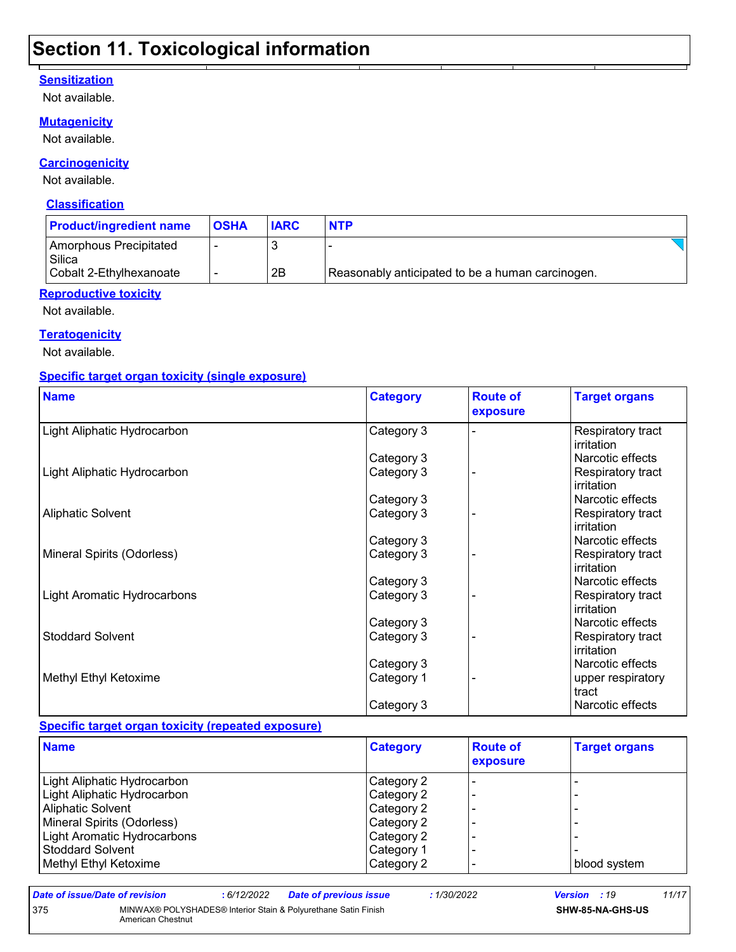### **Section 11. Toxicological information**

#### **Sensitization**

Not available.

#### **Mutagenicity**

Not available.

#### **Carcinogenicity**

Not available.

#### **Classification**

| <b>Product/ingredient name</b>   | <b>OSHA</b> | <b>IARC</b> | <b>NTP</b>                                       |  |
|----------------------------------|-------------|-------------|--------------------------------------------------|--|
| Amorphous Precipitated<br>Silica |             |             |                                                  |  |
| Cobalt 2-Ethylhexanoate          |             | 2B          | Reasonably anticipated to be a human carcinogen. |  |

#### **Reproductive toxicity**

Not available.

#### **Teratogenicity**

Not available.

#### **Specific target organ toxicity (single exposure)**

| <b>Name</b>                        | <b>Category</b> | <b>Route of</b><br>exposure | <b>Target organs</b>            |
|------------------------------------|-----------------|-----------------------------|---------------------------------|
| Light Aliphatic Hydrocarbon        | Category 3      |                             | Respiratory tract<br>irritation |
|                                    | Category 3      |                             | Narcotic effects                |
| Light Aliphatic Hydrocarbon        | Category 3      |                             | Respiratory tract<br>irritation |
|                                    | Category 3      |                             | Narcotic effects                |
| <b>Aliphatic Solvent</b>           | Category 3      |                             | Respiratory tract<br>irritation |
|                                    | Category 3      |                             | Narcotic effects                |
| Mineral Spirits (Odorless)         | Category 3      |                             | Respiratory tract<br>irritation |
|                                    | Category 3      |                             | Narcotic effects                |
| <b>Light Aromatic Hydrocarbons</b> | Category 3      |                             | Respiratory tract<br>irritation |
|                                    | Category 3      |                             | Narcotic effects                |
| <b>Stoddard Solvent</b>            | Category 3      |                             | Respiratory tract<br>irritation |
|                                    | Category 3      |                             | Narcotic effects                |
| Methyl Ethyl Ketoxime              | Category 1      |                             | upper respiratory<br>tract      |
|                                    | Category 3      |                             | Narcotic effects                |

#### **Specific target organ toxicity (repeated exposure)**

| <b>Name</b>                 | <b>Category</b> | <b>Route of</b><br>exposure | <b>Target organs</b> |
|-----------------------------|-----------------|-----------------------------|----------------------|
| Light Aliphatic Hydrocarbon | Category 2      |                             |                      |
| Light Aliphatic Hydrocarbon | Category 2      |                             |                      |
| <b>Aliphatic Solvent</b>    | Category 2      |                             |                      |
| Mineral Spirits (Odorless)  | Category 2      |                             |                      |
| Light Aromatic Hydrocarbons | Category 2      |                             |                      |
| l Stoddard Solvent          | Category 1      |                             |                      |
| Methyl Ethyl Ketoxime       | Category 2      |                             | blood system         |

375 MINWAX® POLYSHADES® Interior Stain & Polyurethane Satin Finish American Chestnut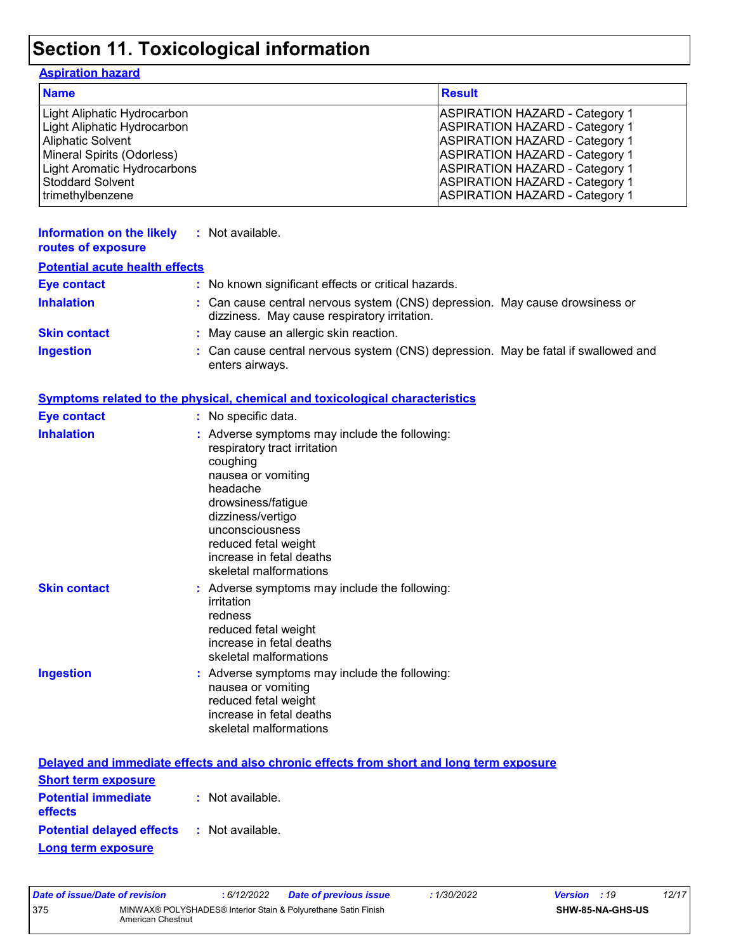## **Section 11. Toxicological information**

### **Aspiration hazard**

| <b>Name</b>                        | <b>Result</b>                         |
|------------------------------------|---------------------------------------|
| Light Aliphatic Hydrocarbon        | <b>ASPIRATION HAZARD - Category 1</b> |
| Light Aliphatic Hydrocarbon        | <b>ASPIRATION HAZARD - Category 1</b> |
| <b>Aliphatic Solvent</b>           | <b>ASPIRATION HAZARD - Category 1</b> |
| Mineral Spirits (Odorless)         | <b>ASPIRATION HAZARD - Category 1</b> |
| <b>Light Aromatic Hydrocarbons</b> | <b>ASPIRATION HAZARD - Category 1</b> |
| <b>Stoddard Solvent</b>            | <b>ASPIRATION HAZARD - Category 1</b> |
| trimethylbenzene                   | <b>ASPIRATION HAZARD - Category 1</b> |

| Information on the likely<br>routes of exposure | : Not available.                                                                                                             |
|-------------------------------------------------|------------------------------------------------------------------------------------------------------------------------------|
| <b>Potential acute health effects</b>           |                                                                                                                              |
| <b>Eye contact</b>                              | : No known significant effects or critical hazards.                                                                          |
| <b>Inhalation</b>                               | : Can cause central nervous system (CNS) depression. May cause drowsiness or<br>dizziness. May cause respiratory irritation. |
| <b>Skin contact</b>                             | : May cause an allergic skin reaction.                                                                                       |
| <b>Ingestion</b>                                | : Can cause central nervous system (CNS) depression. May be fatal if swallowed and<br>enters airways.                        |

|                     | <b>Symptoms related to the physical, chemical and toxicological characteristics</b>                                                                                                                                                                                     |
|---------------------|-------------------------------------------------------------------------------------------------------------------------------------------------------------------------------------------------------------------------------------------------------------------------|
| <b>Eye contact</b>  | : No specific data.                                                                                                                                                                                                                                                     |
| <b>Inhalation</b>   | : Adverse symptoms may include the following:<br>respiratory tract irritation<br>coughing<br>nausea or vomiting<br>headache<br>drowsiness/fatigue<br>dizziness/vertigo<br>unconsciousness<br>reduced fetal weight<br>increase in fetal deaths<br>skeletal malformations |
| <b>Skin contact</b> | : Adverse symptoms may include the following:<br>irritation<br>redness<br>reduced fetal weight<br>increase in fetal deaths<br>skeletal malformations                                                                                                                    |
| <b>Ingestion</b>    | : Adverse symptoms may include the following:<br>nausea or vomiting<br>reduced fetal weight<br>increase in fetal deaths<br>skeletal malformations                                                                                                                       |
|                     | Delayed and immediate effects and also chronic effects from short and long term exposure                                                                                                                                                                                |

|                                                   | Delayed and immediate effects and also chronic effects from short and long term exposure |
|---------------------------------------------------|------------------------------------------------------------------------------------------|
| <b>Short term exposure</b>                        |                                                                                          |
| <b>Potential immediate</b><br>effects             | : Not available.                                                                         |
| <b>Potential delayed effects : Not available.</b> |                                                                                          |
| Long term exposure                                |                                                                                          |

| Date of issue/Date of revision |                                                                                     | : 6/12/2022 | <b>Date of previous issue</b> | : 1/30/2022 | <b>Version</b> : 19 |                         | 12/17 |
|--------------------------------|-------------------------------------------------------------------------------------|-------------|-------------------------------|-------------|---------------------|-------------------------|-------|
| 375                            | MINWAX® POLYSHADES® Interior Stain & Polvurethane Satin Finish<br>American Chestnut |             |                               |             |                     | <b>SHW-85-NA-GHS-US</b> |       |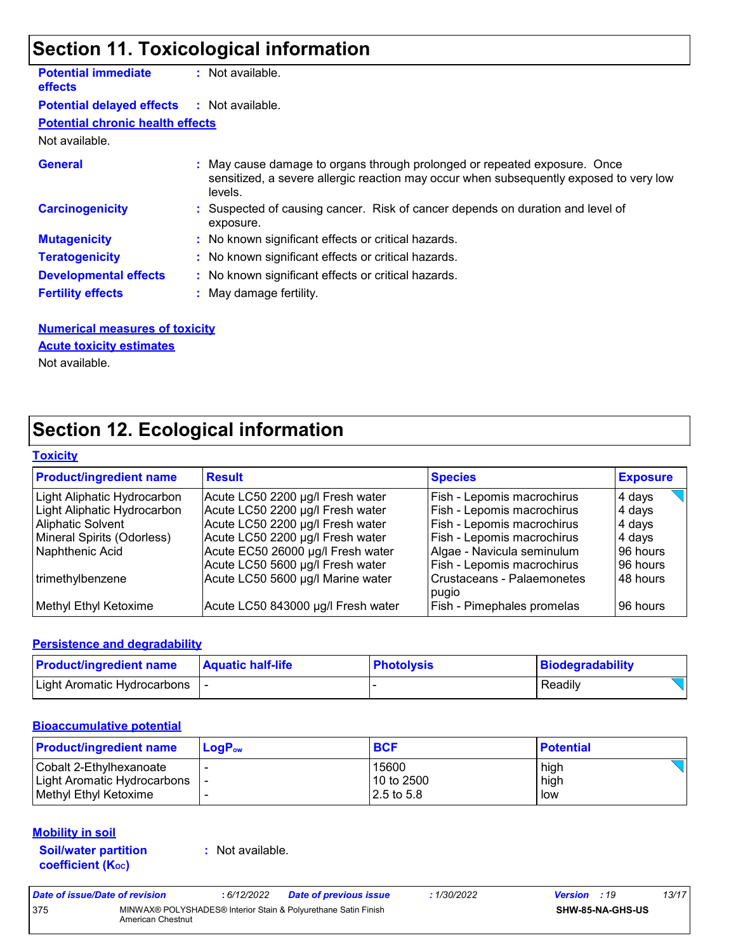## **Section 11. Toxicological information**

| <b>Potential immediate</b><br><b>effects</b>      | : Not available.                                                                                                                                                               |
|---------------------------------------------------|--------------------------------------------------------------------------------------------------------------------------------------------------------------------------------|
| <b>Potential delayed effects : Not available.</b> |                                                                                                                                                                                |
| <b>Potential chronic health effects</b>           |                                                                                                                                                                                |
| Not available.                                    |                                                                                                                                                                                |
| <b>General</b>                                    | : May cause damage to organs through prolonged or repeated exposure. Once<br>sensitized, a severe allergic reaction may occur when subsequently exposed to very low<br>levels. |
| <b>Carcinogenicity</b>                            | : Suspected of causing cancer. Risk of cancer depends on duration and level of<br>exposure.                                                                                    |
| <b>Mutagenicity</b>                               | : No known significant effects or critical hazards.                                                                                                                            |
| <b>Teratogenicity</b>                             | : No known significant effects or critical hazards.                                                                                                                            |
| <b>Developmental effects</b>                      | : No known significant effects or critical hazards.                                                                                                                            |
| <b>Fertility effects</b>                          | : May damage fertility.                                                                                                                                                        |

#### **Numerical measures of toxicity**

#### **Acute toxicity estimates**

Not available.

## **Section 12. Ecological information**

#### **Toxicity**

| <b>Product/ingredient name</b> | <b>Result</b>                      | <b>Species</b>                        | <b>Exposure</b> |
|--------------------------------|------------------------------------|---------------------------------------|-----------------|
| Light Aliphatic Hydrocarbon    | Acute LC50 2200 µg/l Fresh water   | Fish - Lepomis macrochirus            | 4 days          |
| Light Aliphatic Hydrocarbon    | Acute LC50 2200 µg/l Fresh water   | Fish - Lepomis macrochirus            | 4 days          |
| <b>Aliphatic Solvent</b>       | Acute LC50 2200 µg/l Fresh water   | Fish - Lepomis macrochirus            | 4 days          |
| Mineral Spirits (Odorless)     | Acute LC50 2200 µg/l Fresh water   | Fish - Lepomis macrochirus            | 4 days          |
| Naphthenic Acid                | Acute EC50 26000 µg/l Fresh water  | Algae - Navicula seminulum            | 96 hours        |
|                                | Acute LC50 5600 µg/l Fresh water   | Fish - Lepomis macrochirus            | 196 hours       |
| trimethylbenzene               | Acute LC50 5600 µg/l Marine water  | l Crustaceans - Palaemonetes<br>pugio | 48 hours        |
| Methyl Ethyl Ketoxime          | Acute LC50 843000 µg/l Fresh water | Fish - Pimephales promelas            | l 96 hours      |

#### **Persistence and degradability**

| <b>Product/ingredient name</b> | <b>Aquatic half-life</b> | <b>Photolysis</b> | Biodegradability |
|--------------------------------|--------------------------|-------------------|------------------|
| Light Aromatic Hydrocarbons    |                          |                   | Readily          |

#### **Bioaccumulative potential**

| <b>Product/ingredient name</b>  | $LoaPow$ | <b>BCF</b>    | <b>Potential</b> |
|---------------------------------|----------|---------------|------------------|
| Cobalt 2-Ethylhexanoate         |          | 15600         | high             |
| Light Aromatic Hydrocarbons   - |          | 10 to 2500    | high             |
| Methyl Ethyl Ketoxime           |          | $12.5$ to 5.8 | low              |

#### **Mobility in soil**

**Soil/water partition coefficient (KOC)**

**:** Not available.

| Date of issue/Date of revision |                   | : 6/12/2022 | <b>Date of previous issue</b>                                  | : 1/30/2022 | <b>Version</b> : 19     | 13/17 |
|--------------------------------|-------------------|-------------|----------------------------------------------------------------|-------------|-------------------------|-------|
| 375                            | American Chestnut |             | MINWAX® POLYSHADES® Interior Stain & Polyurethane Satin Finish |             | <b>SHW-85-NA-GHS-US</b> |       |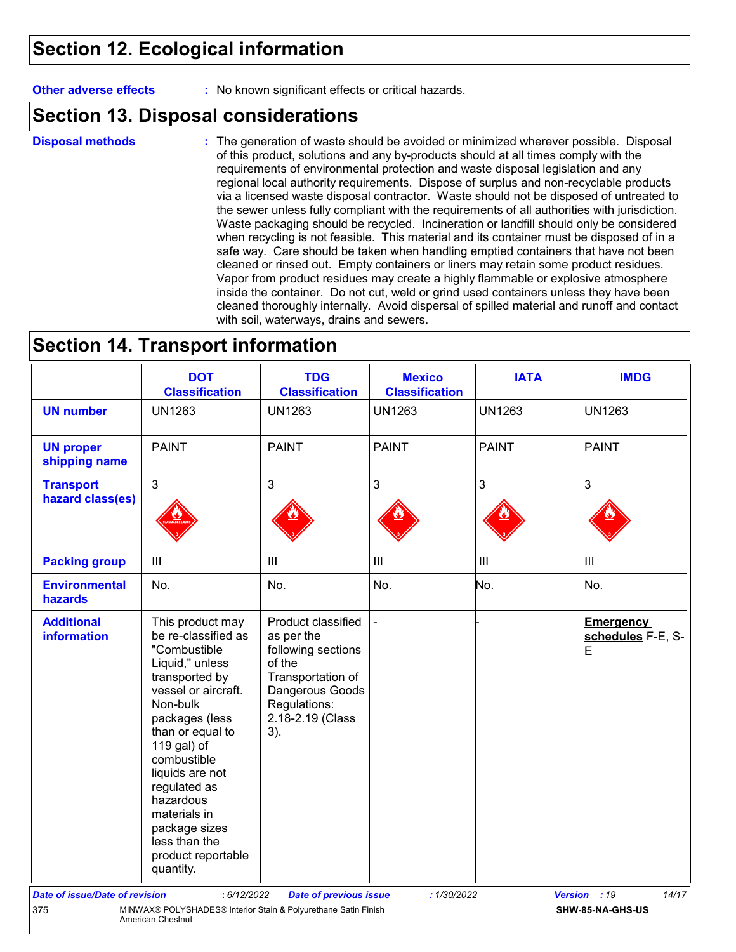### **Section 12. Ecological information**

**Other adverse effects** : No known significant effects or critical hazards.

### **Section 13. Disposal considerations**

The generation of waste should be avoided or minimized wherever possible. Disposal of this product, solutions and any by-products should at all times comply with the requirements of environmental protection and waste disposal legislation and any regional local authority requirements. Dispose of surplus and non-recyclable products via a licensed waste disposal contractor. Waste should not be disposed of untreated to the sewer unless fully compliant with the requirements of all authorities with jurisdiction. Waste packaging should be recycled. Incineration or landfill should only be considered when recycling is not feasible. This material and its container must be disposed of in a safe way. Care should be taken when handling emptied containers that have not been cleaned or rinsed out. Empty containers or liners may retain some product residues. Vapor from product residues may create a highly flammable or explosive atmosphere inside the container. Do not cut, weld or grind used containers unless they have been cleaned thoroughly internally. Avoid dispersal of spilled material and runoff and contact with soil, waterways, drains and sewers. **Disposal methods :**

### **Section 14. Transport information**

|                                         | <b>DOT</b><br><b>Classification</b>                                                                                                                                                                                                                                                                                                      | <b>TDG</b><br><b>Classification</b>                                                                                                                 | <b>Mexico</b><br><b>Classification</b> | <b>IATA</b>   | <b>IMDG</b>                                |
|-----------------------------------------|------------------------------------------------------------------------------------------------------------------------------------------------------------------------------------------------------------------------------------------------------------------------------------------------------------------------------------------|-----------------------------------------------------------------------------------------------------------------------------------------------------|----------------------------------------|---------------|--------------------------------------------|
| <b>UN number</b>                        | <b>UN1263</b>                                                                                                                                                                                                                                                                                                                            | <b>UN1263</b>                                                                                                                                       | <b>UN1263</b>                          | <b>UN1263</b> | <b>UN1263</b>                              |
| <b>UN proper</b><br>shipping name       | <b>PAINT</b>                                                                                                                                                                                                                                                                                                                             | <b>PAINT</b>                                                                                                                                        | <b>PAINT</b>                           | <b>PAINT</b>  | <b>PAINT</b>                               |
| <b>Transport</b><br>hazard class(es)    | 3                                                                                                                                                                                                                                                                                                                                        | 3                                                                                                                                                   | $\mathfrak{S}$                         | 3             | 3                                          |
| <b>Packing group</b>                    | $\mathbf{III}$                                                                                                                                                                                                                                                                                                                           | III                                                                                                                                                 | $\mathbf{III}$                         | III           | III                                        |
| <b>Environmental</b><br>hazards         | No.                                                                                                                                                                                                                                                                                                                                      | No.                                                                                                                                                 | No.                                    | No.           | No.                                        |
| <b>Additional</b><br><b>information</b> | This product may<br>be re-classified as<br>"Combustible<br>Liquid," unless<br>transported by<br>vessel or aircraft.<br>Non-bulk<br>packages (less<br>than or equal to<br>119 gal) of<br>combustible<br>liquids are not<br>regulated as<br>hazardous<br>materials in<br>package sizes<br>less than the<br>product reportable<br>quantity. | Product classified<br>as per the<br>following sections<br>of the<br>Transportation of<br>Dangerous Goods<br>Regulations:<br>2.18-2.19 (Class<br>3). | $\overline{\phantom{a}}$               |               | <b>Emergency</b><br>schedules F-E, S-<br>E |
| <b>Date of issue/Date of revision</b>   | : 6/12/2022                                                                                                                                                                                                                                                                                                                              | <b>Date of previous issue</b>                                                                                                                       | : 1/30/2022                            |               | 14/17<br>Version : 19                      |
| 375                                     | MINWAX® POLYSHADES® Interior Stain & Polyurethane Satin Finish<br>American Chestnut                                                                                                                                                                                                                                                      |                                                                                                                                                     |                                        |               | SHW-85-NA-GHS-US                           |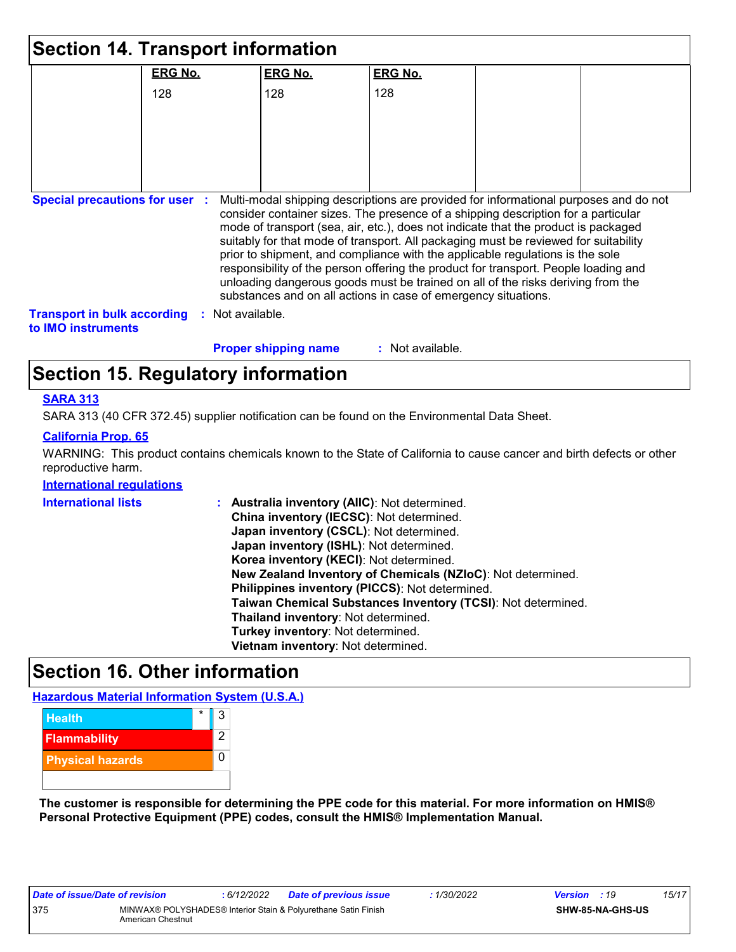|                                                          |                | <b>Section 14. Transport information</b>                                                                                                                                                                                                                                                                                                                                                                                                                                                                                                                                                                                                                                            |                  |  |
|----------------------------------------------------------|----------------|-------------------------------------------------------------------------------------------------------------------------------------------------------------------------------------------------------------------------------------------------------------------------------------------------------------------------------------------------------------------------------------------------------------------------------------------------------------------------------------------------------------------------------------------------------------------------------------------------------------------------------------------------------------------------------------|------------------|--|
|                                                          | <b>ERG No.</b> | <b>ERG No.</b>                                                                                                                                                                                                                                                                                                                                                                                                                                                                                                                                                                                                                                                                      | <b>ERG No.</b>   |  |
|                                                          | 128            | 128                                                                                                                                                                                                                                                                                                                                                                                                                                                                                                                                                                                                                                                                                 | 128              |  |
|                                                          |                |                                                                                                                                                                                                                                                                                                                                                                                                                                                                                                                                                                                                                                                                                     |                  |  |
|                                                          |                |                                                                                                                                                                                                                                                                                                                                                                                                                                                                                                                                                                                                                                                                                     |                  |  |
|                                                          |                |                                                                                                                                                                                                                                                                                                                                                                                                                                                                                                                                                                                                                                                                                     |                  |  |
|                                                          |                |                                                                                                                                                                                                                                                                                                                                                                                                                                                                                                                                                                                                                                                                                     |                  |  |
| <b>Special precautions for user :</b>                    |                | Multi-modal shipping descriptions are provided for informational purposes and do not<br>consider container sizes. The presence of a shipping description for a particular<br>mode of transport (sea, air, etc.), does not indicate that the product is packaged<br>suitably for that mode of transport. All packaging must be reviewed for suitability<br>prior to shipment, and compliance with the applicable regulations is the sole<br>responsibility of the person offering the product for transport. People loading and<br>unloading dangerous goods must be trained on all of the risks deriving from the<br>substances and on all actions in case of emergency situations. |                  |  |
| <b>Transport in bulk according</b><br>to IMO instruments |                | Not available.                                                                                                                                                                                                                                                                                                                                                                                                                                                                                                                                                                                                                                                                      |                  |  |
|                                                          |                | <b>Proper shipping name</b>                                                                                                                                                                                                                                                                                                                                                                                                                                                                                                                                                                                                                                                         | : Not available. |  |
|                                                          |                | Section 15. Regulatory information                                                                                                                                                                                                                                                                                                                                                                                                                                                                                                                                                                                                                                                  |                  |  |

#### **SARA 313**

SARA 313 (40 CFR 372.45) supplier notification can be found on the Environmental Data Sheet.

#### **California Prop. 65**

WARNING: This product contains chemicals known to the State of California to cause cancer and birth defects or other reproductive harm.

#### **International regulations**

| International lists | Australia inventory (AIIC): Not determined.<br>t.            |
|---------------------|--------------------------------------------------------------|
|                     | China inventory (IECSC): Not determined.                     |
|                     | Japan inventory (CSCL): Not determined.                      |
|                     | Japan inventory (ISHL): Not determined.                      |
|                     | Korea inventory (KECI): Not determined.                      |
|                     | New Zealand Inventory of Chemicals (NZIoC): Not determined.  |
|                     | Philippines inventory (PICCS): Not determined.               |
|                     | Taiwan Chemical Substances Inventory (TCSI): Not determined. |
|                     | Thailand inventory: Not determined.                          |
|                     | Turkey inventory: Not determined.                            |
|                     | Vietnam inventory: Not determined.                           |
|                     |                                                              |

## **Section 16. Other information**

**Hazardous Material Information System (U.S.A.)**



**The customer is responsible for determining the PPE code for this material. For more information on HMIS® Personal Protective Equipment (PPE) codes, consult the HMIS® Implementation Manual.**

| Date of issue/Date of revision |                                                                                     | : 6/12/2022 | Date of previous issue | : 1/30/2022 | <b>Version</b> : 19 |                         | 15/17 |
|--------------------------------|-------------------------------------------------------------------------------------|-------------|------------------------|-------------|---------------------|-------------------------|-------|
| 375                            | MINWAX® POLYSHADES® Interior Stain & Polyurethane Satin Finish<br>American Chestnut |             |                        |             |                     | <b>SHW-85-NA-GHS-US</b> |       |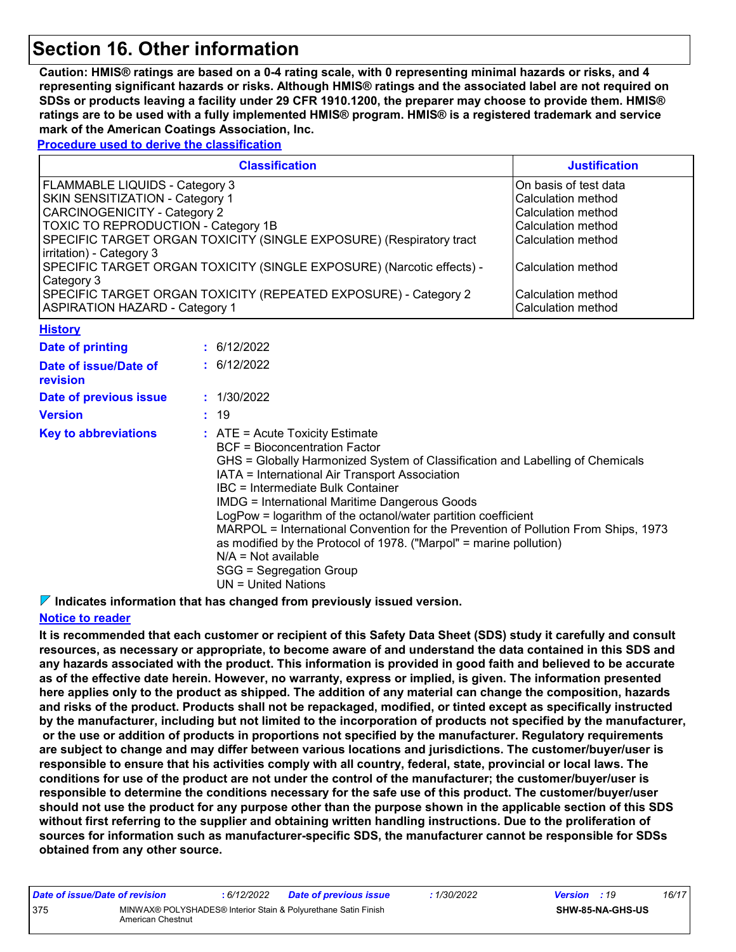### **Section 16. Other information**

**Caution: HMIS® ratings are based on a 0-4 rating scale, with 0 representing minimal hazards or risks, and 4 representing significant hazards or risks. Although HMIS® ratings and the associated label are not required on SDSs or products leaving a facility under 29 CFR 1910.1200, the preparer may choose to provide them. HMIS® ratings are to be used with a fully implemented HMIS® program. HMIS® is a registered trademark and service mark of the American Coatings Association, Inc.**

**Procedure used to derive the classification**

| <b>Classification</b>                                                                                    | <b>Justification</b>                     |
|----------------------------------------------------------------------------------------------------------|------------------------------------------|
| FLAMMABLE LIQUIDS - Category 3                                                                           | On basis of test data                    |
| SKIN SENSITIZATION - Category 1                                                                          | Calculation method                       |
| <b>CARCINOGENICITY - Category 2</b>                                                                      | Calculation method                       |
| TOXIC TO REPRODUCTION - Category 1B                                                                      | Calculation method                       |
| SPECIFIC TARGET ORGAN TOXICITY (SINGLE EXPOSURE) (Respiratory tract<br>irritation) - Category 3          | Calculation method                       |
| SPECIFIC TARGET ORGAN TOXICITY (SINGLE EXPOSURE) (Narcotic effects) -<br>Category 3                      | Calculation method                       |
| SPECIFIC TARGET ORGAN TOXICITY (REPEATED EXPOSURE) - Category 2<br><b>ASPIRATION HAZARD - Category 1</b> | Calculation method<br>Calculation method |

| <u>ніэшту</u>                     |                                                                                                                                                                                                                                                                                                                                                                                                                                                                                                                                                                                                                       |
|-----------------------------------|-----------------------------------------------------------------------------------------------------------------------------------------------------------------------------------------------------------------------------------------------------------------------------------------------------------------------------------------------------------------------------------------------------------------------------------------------------------------------------------------------------------------------------------------------------------------------------------------------------------------------|
| Date of printing                  | : 6/12/2022                                                                                                                                                                                                                                                                                                                                                                                                                                                                                                                                                                                                           |
| Date of issue/Date of<br>revision | : 6/12/2022                                                                                                                                                                                                                                                                                                                                                                                                                                                                                                                                                                                                           |
| Date of previous issue            | : 1/30/2022                                                                                                                                                                                                                                                                                                                                                                                                                                                                                                                                                                                                           |
| <b>Version</b>                    | : 19                                                                                                                                                                                                                                                                                                                                                                                                                                                                                                                                                                                                                  |
| <b>Key to abbreviations</b>       | $\therefore$ ATE = Acute Toxicity Estimate<br>BCF = Bioconcentration Factor<br>GHS = Globally Harmonized System of Classification and Labelling of Chemicals<br>IATA = International Air Transport Association<br>IBC = Intermediate Bulk Container<br><b>IMDG = International Maritime Dangerous Goods</b><br>LogPow = logarithm of the octanol/water partition coefficient<br>MARPOL = International Convention for the Prevention of Pollution From Ships, 1973<br>as modified by the Protocol of 1978. ("Marpol" = marine pollution)<br>$N/A = Not available$<br>SGG = Segregation Group<br>$UN = United Nations$ |

**Indicates information that has changed from previously issued version.**

#### **Notice to reader**

**History**

**It is recommended that each customer or recipient of this Safety Data Sheet (SDS) study it carefully and consult resources, as necessary or appropriate, to become aware of and understand the data contained in this SDS and any hazards associated with the product. This information is provided in good faith and believed to be accurate as of the effective date herein. However, no warranty, express or implied, is given. The information presented here applies only to the product as shipped. The addition of any material can change the composition, hazards and risks of the product. Products shall not be repackaged, modified, or tinted except as specifically instructed by the manufacturer, including but not limited to the incorporation of products not specified by the manufacturer, or the use or addition of products in proportions not specified by the manufacturer. Regulatory requirements are subject to change and may differ between various locations and jurisdictions. The customer/buyer/user is responsible to ensure that his activities comply with all country, federal, state, provincial or local laws. The conditions for use of the product are not under the control of the manufacturer; the customer/buyer/user is responsible to determine the conditions necessary for the safe use of this product. The customer/buyer/user should not use the product for any purpose other than the purpose shown in the applicable section of this SDS without first referring to the supplier and obtaining written handling instructions. Due to the proliferation of sources for information such as manufacturer-specific SDS, the manufacturer cannot be responsible for SDSs obtained from any other source.**